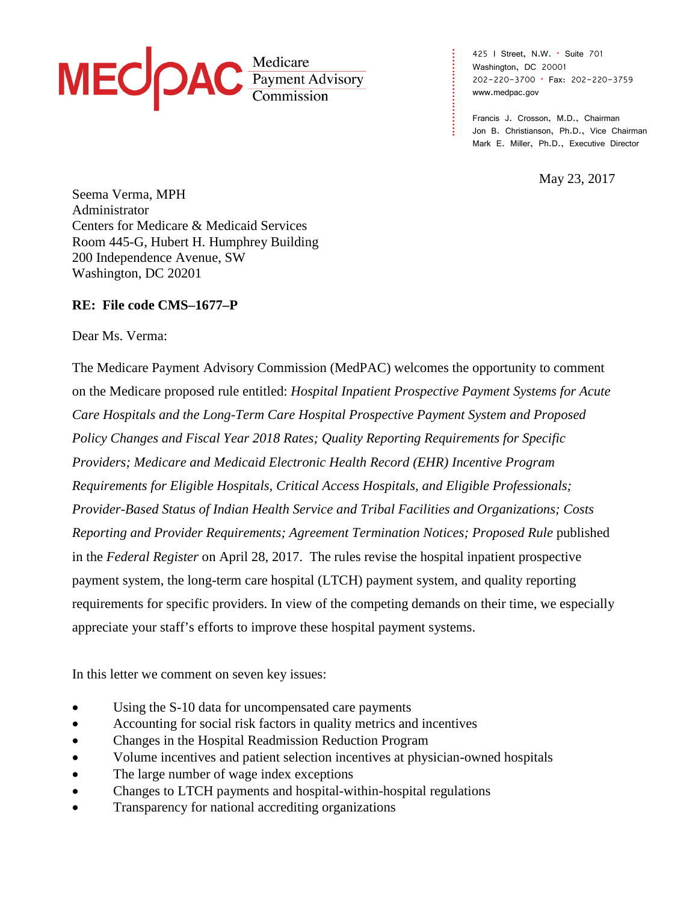# MEC PAC Payment Advisory

425 I Street, N.W. • Suite 701 Washington, DC 20001 202-220-3700 • Fax: 202-220-3759 [www.medpac.gov](http://www.medpac.gov/)

**. . . . . . . . . . . . . . . . . . . . . . . . .**

Francis J. Crosson, M.D., Chairman Jon B. Christianson, Ph.D., Vice Chairman Mark E. Miller, Ph.D., Executive Director

May 23, 2017

Seema Verma, MPH Administrator Centers for Medicare & Medicaid Services Room 445-G, Hubert H. Humphrey Building 200 Independence Avenue, SW Washington, DC 20201

## **RE: File code CMS–1677–P**

Dear Ms. Verma:

The Medicare Payment Advisory Commission (MedPAC) welcomes the opportunity to comment on the Medicare proposed rule entitled: *Hospital Inpatient Prospective Payment Systems for Acute Care Hospitals and the Long-Term Care Hospital Prospective Payment System and Proposed Policy Changes and Fiscal Year 2018 Rates; Quality Reporting Requirements for Specific Providers; Medicare and Medicaid Electronic Health Record (EHR) Incentive Program Requirements for Eligible Hospitals, Critical Access Hospitals, and Eligible Professionals; Provider-Based Status of Indian Health Service and Tribal Facilities and Organizations; Costs Reporting and Provider Requirements; Agreement Termination Notices; Proposed Rule* published in the *Federal Register* on April 28, 2017. The rules revise the hospital inpatient prospective payment system, the long-term care hospital (LTCH) payment system, and quality reporting requirements for specific providers. In view of the competing demands on their time, we especially appreciate your staff's efforts to improve these hospital payment systems.

In this letter we comment on seven key issues:

- Using the S-10 data for uncompensated care payments
- Accounting for social risk factors in quality metrics and incentives
- Changes in the Hospital Readmission Reduction Program
- Volume incentives and patient selection incentives at physician-owned hospitals
- The large number of wage index exceptions
- Changes to LTCH payments and hospital-within-hospital regulations
- Transparency for national accrediting organizations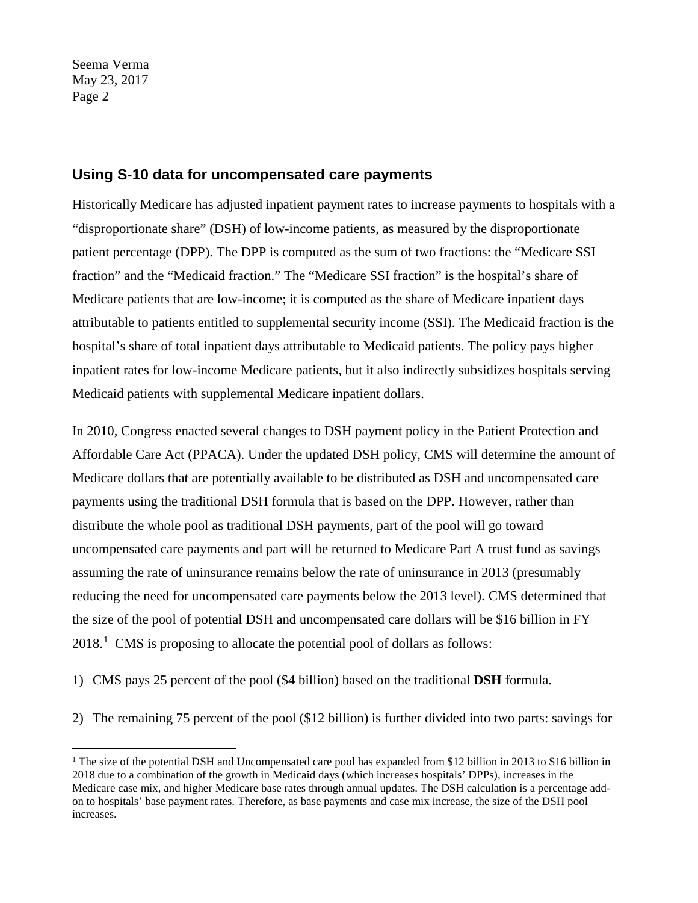## **Using S-10 data for uncompensated care payments**

Historically Medicare has adjusted inpatient payment rates to increase payments to hospitals with a "disproportionate share" (DSH) of low-income patients, as measured by the disproportionate patient percentage (DPP). The DPP is computed as the sum of two fractions: the "Medicare SSI fraction" and the "Medicaid fraction." The "Medicare SSI fraction" is the hospital's share of Medicare patients that are low-income; it is computed as the share of Medicare inpatient days attributable to patients entitled to supplemental security income (SSI). The Medicaid fraction is the hospital's share of total inpatient days attributable to Medicaid patients. The policy pays higher inpatient rates for low-income Medicare patients, but it also indirectly subsidizes hospitals serving Medicaid patients with supplemental Medicare inpatient dollars.

In 2010, Congress enacted several changes to DSH payment policy in the Patient Protection and Affordable Care Act (PPACA). Under the updated DSH policy, CMS will determine the amount of Medicare dollars that are potentially available to be distributed as DSH and uncompensated care payments using the traditional DSH formula that is based on the DPP. However, rather than distribute the whole pool as traditional DSH payments, part of the pool will go toward uncompensated care payments and part will be returned to Medicare Part A trust fund as savings assuming the rate of uninsurance remains below the rate of uninsurance in 2013 (presumably reducing the need for uncompensated care payments below the 2013 level). CMS determined that the size of the pool of potential DSH and uncompensated care dollars will be \$16 billion in FY 2018. [1](#page-1-0) CMS is proposing to allocate the potential pool of dollars as follows:

1) CMS pays 25 percent of the pool (\$4 billion) based on the traditional **DSH** formula.

2) The remaining 75 percent of the pool (\$12 billion) is further divided into two parts: savings for

<span id="page-1-0"></span><sup>&</sup>lt;sup>1</sup> The size of the potential DSH and Uncompensated care pool has expanded from \$12 billion in 2013 to \$16 billion in 2018 due to a combination of the growth in Medicaid days (which increases hospitals' DPPs), increases in the Medicare case mix, and higher Medicare base rates through annual updates. The DSH calculation is a percentage addon to hospitals' base payment rates. Therefore, as base payments and case mix increase, the size of the DSH pool increases.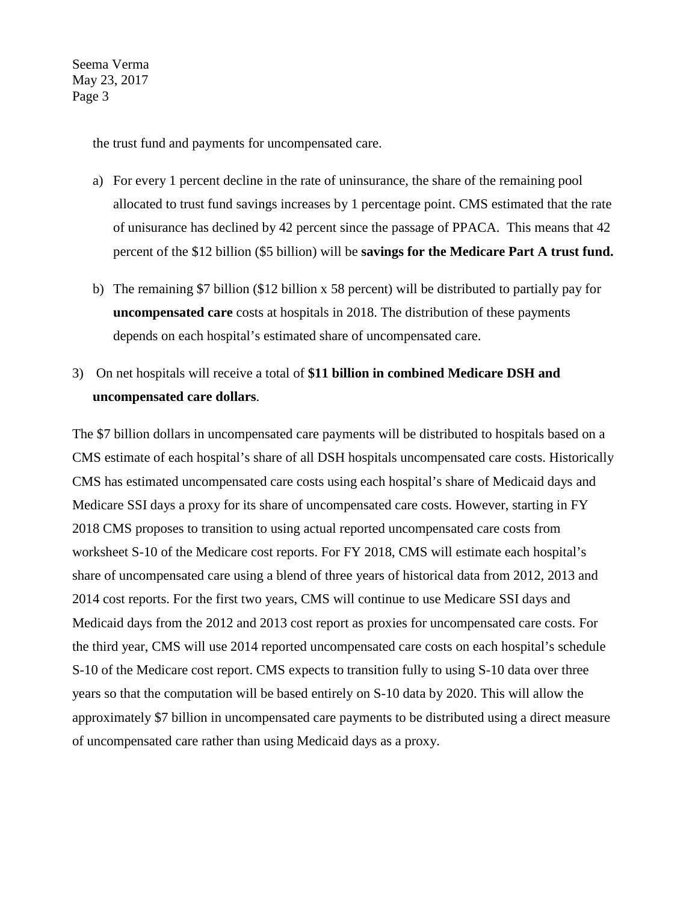the trust fund and payments for uncompensated care.

- a) For every 1 percent decline in the rate of uninsurance, the share of the remaining pool allocated to trust fund savings increases by 1 percentage point. CMS estimated that the rate of unisurance has declined by 42 percent since the passage of PPACA. This means that 42 percent of the \$12 billion (\$5 billion) will be **savings for the Medicare Part A trust fund.**
- b) The remaining \$7 billion (\$12 billion x 58 percent) will be distributed to partially pay for **uncompensated care** costs at hospitals in 2018. The distribution of these payments depends on each hospital's estimated share of uncompensated care.
- 3) On net hospitals will receive a total of **\$11 billion in combined Medicare DSH and uncompensated care dollars**.

The \$7 billion dollars in uncompensated care payments will be distributed to hospitals based on a CMS estimate of each hospital's share of all DSH hospitals uncompensated care costs. Historically CMS has estimated uncompensated care costs using each hospital's share of Medicaid days and Medicare SSI days a proxy for its share of uncompensated care costs. However, starting in FY 2018 CMS proposes to transition to using actual reported uncompensated care costs from worksheet S-10 of the Medicare cost reports. For FY 2018, CMS will estimate each hospital's share of uncompensated care using a blend of three years of historical data from 2012, 2013 and 2014 cost reports. For the first two years, CMS will continue to use Medicare SSI days and Medicaid days from the 2012 and 2013 cost report as proxies for uncompensated care costs. For the third year, CMS will use 2014 reported uncompensated care costs on each hospital's schedule S-10 of the Medicare cost report. CMS expects to transition fully to using S-10 data over three years so that the computation will be based entirely on S-10 data by 2020. This will allow the approximately \$7 billion in uncompensated care payments to be distributed using a direct measure of uncompensated care rather than using Medicaid days as a proxy.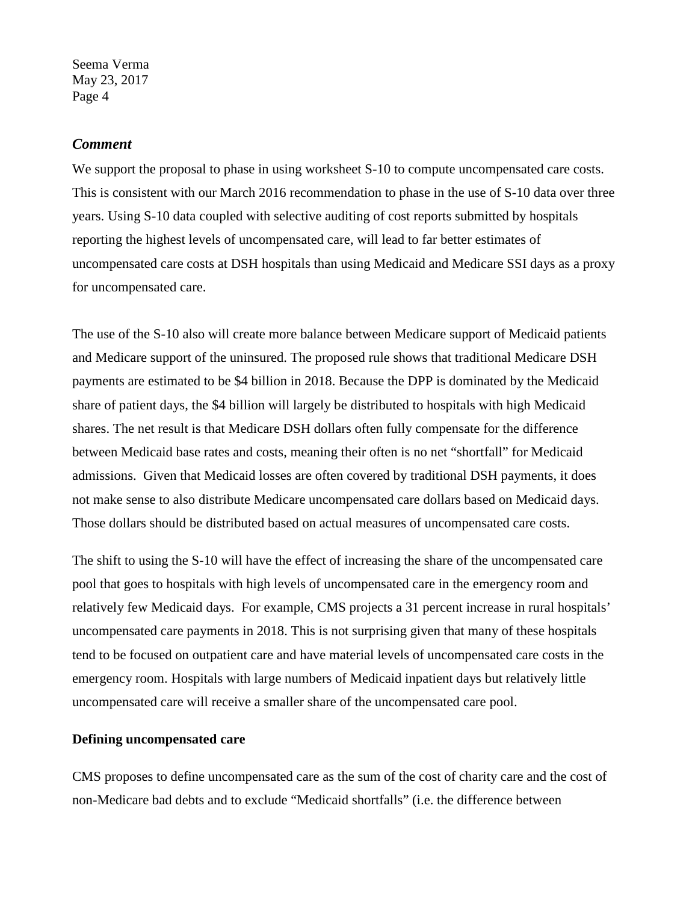#### *Comment*

We support the proposal to phase in using worksheet S-10 to compute uncompensated care costs. This is consistent with our March 2016 recommendation to phase in the use of S-10 data over three years. Using S-10 data coupled with selective auditing of cost reports submitted by hospitals reporting the highest levels of uncompensated care, will lead to far better estimates of uncompensated care costs at DSH hospitals than using Medicaid and Medicare SSI days as a proxy for uncompensated care.

The use of the S-10 also will create more balance between Medicare support of Medicaid patients and Medicare support of the uninsured. The proposed rule shows that traditional Medicare DSH payments are estimated to be \$4 billion in 2018. Because the DPP is dominated by the Medicaid share of patient days, the \$4 billion will largely be distributed to hospitals with high Medicaid shares. The net result is that Medicare DSH dollars often fully compensate for the difference between Medicaid base rates and costs, meaning their often is no net "shortfall" for Medicaid admissions. Given that Medicaid losses are often covered by traditional DSH payments, it does not make sense to also distribute Medicare uncompensated care dollars based on Medicaid days. Those dollars should be distributed based on actual measures of uncompensated care costs.

The shift to using the S-10 will have the effect of increasing the share of the uncompensated care pool that goes to hospitals with high levels of uncompensated care in the emergency room and relatively few Medicaid days. For example, CMS projects a 31 percent increase in rural hospitals' uncompensated care payments in 2018. This is not surprising given that many of these hospitals tend to be focused on outpatient care and have material levels of uncompensated care costs in the emergency room. Hospitals with large numbers of Medicaid inpatient days but relatively little uncompensated care will receive a smaller share of the uncompensated care pool.

#### **Defining uncompensated care**

CMS proposes to define uncompensated care as the sum of the cost of charity care and the cost of non-Medicare bad debts and to exclude "Medicaid shortfalls" (i.e. the difference between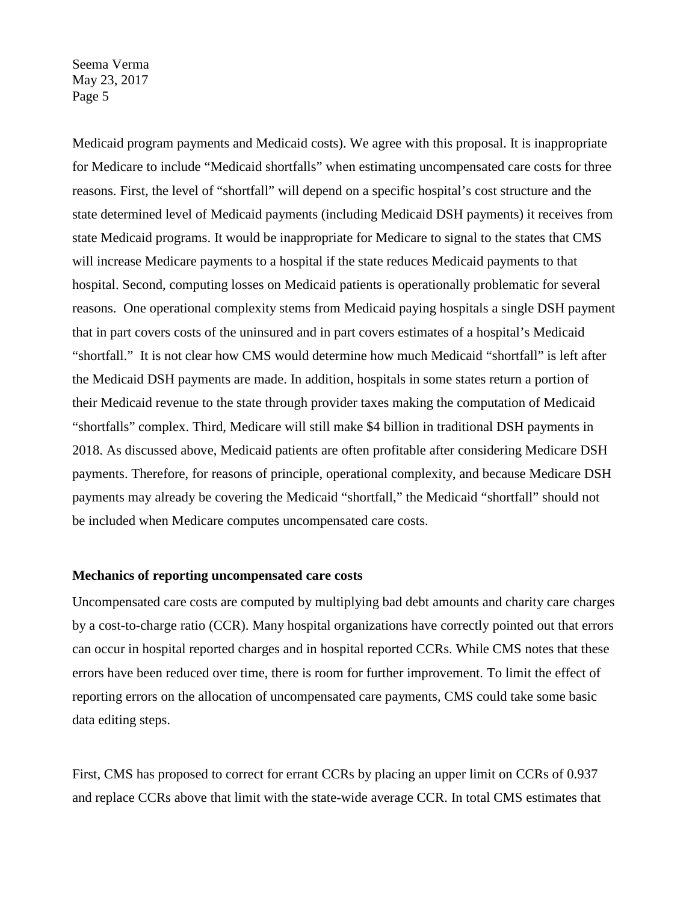Medicaid program payments and Medicaid costs). We agree with this proposal. It is inappropriate for Medicare to include "Medicaid shortfalls" when estimating uncompensated care costs for three reasons. First, the level of "shortfall" will depend on a specific hospital's cost structure and the state determined level of Medicaid payments (including Medicaid DSH payments) it receives from state Medicaid programs. It would be inappropriate for Medicare to signal to the states that CMS will increase Medicare payments to a hospital if the state reduces Medicaid payments to that hospital. Second, computing losses on Medicaid patients is operationally problematic for several reasons. One operational complexity stems from Medicaid paying hospitals a single DSH payment that in part covers costs of the uninsured and in part covers estimates of a hospital's Medicaid "shortfall." It is not clear how CMS would determine how much Medicaid "shortfall" is left after the Medicaid DSH payments are made. In addition, hospitals in some states return a portion of their Medicaid revenue to the state through provider taxes making the computation of Medicaid "shortfalls" complex. Third, Medicare will still make \$4 billion in traditional DSH payments in 2018. As discussed above, Medicaid patients are often profitable after considering Medicare DSH payments. Therefore, for reasons of principle, operational complexity, and because Medicare DSH payments may already be covering the Medicaid "shortfall," the Medicaid "shortfall" should not be included when Medicare computes uncompensated care costs.

#### **Mechanics of reporting uncompensated care costs**

Uncompensated care costs are computed by multiplying bad debt amounts and charity care charges by a cost-to-charge ratio (CCR). Many hospital organizations have correctly pointed out that errors can occur in hospital reported charges and in hospital reported CCRs. While CMS notes that these errors have been reduced over time, there is room for further improvement. To limit the effect of reporting errors on the allocation of uncompensated care payments, CMS could take some basic data editing steps.

First, CMS has proposed to correct for errant CCRs by placing an upper limit on CCRs of 0.937 and replace CCRs above that limit with the state-wide average CCR. In total CMS estimates that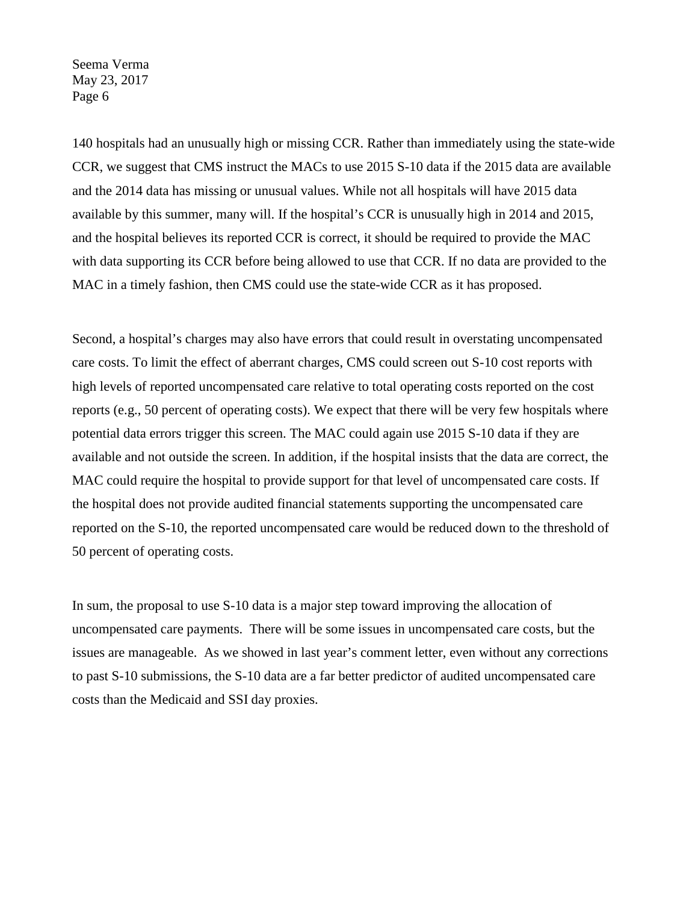140 hospitals had an unusually high or missing CCR. Rather than immediately using the state-wide CCR, we suggest that CMS instruct the MACs to use 2015 S-10 data if the 2015 data are available and the 2014 data has missing or unusual values. While not all hospitals will have 2015 data available by this summer, many will. If the hospital's CCR is unusually high in 2014 and 2015, and the hospital believes its reported CCR is correct, it should be required to provide the MAC with data supporting its CCR before being allowed to use that CCR. If no data are provided to the MAC in a timely fashion, then CMS could use the state-wide CCR as it has proposed.

Second, a hospital's charges may also have errors that could result in overstating uncompensated care costs. To limit the effect of aberrant charges, CMS could screen out S-10 cost reports with high levels of reported uncompensated care relative to total operating costs reported on the cost reports (e.g., 50 percent of operating costs). We expect that there will be very few hospitals where potential data errors trigger this screen. The MAC could again use 2015 S-10 data if they are available and not outside the screen. In addition, if the hospital insists that the data are correct, the MAC could require the hospital to provide support for that level of uncompensated care costs. If the hospital does not provide audited financial statements supporting the uncompensated care reported on the S-10, the reported uncompensated care would be reduced down to the threshold of 50 percent of operating costs.

In sum, the proposal to use S-10 data is a major step toward improving the allocation of uncompensated care payments. There will be some issues in uncompensated care costs, but the issues are manageable. As we showed in last year's comment letter, even without any corrections to past S-10 submissions, the S-10 data are a far better predictor of audited uncompensated care costs than the Medicaid and SSI day proxies.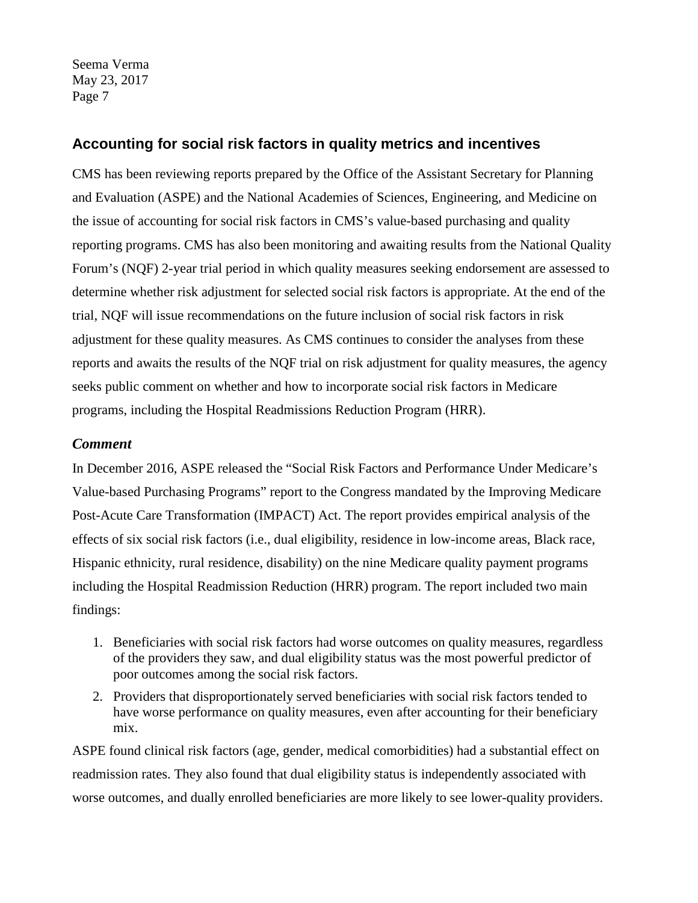## **Accounting for social risk factors in quality metrics and incentives**

CMS has been reviewing reports prepared by the Office of the Assistant Secretary for Planning and Evaluation (ASPE) and the National Academies of Sciences, Engineering, and Medicine on the issue of accounting for social risk factors in CMS's value-based purchasing and quality reporting programs. CMS has also been monitoring and awaiting results from the National Quality Forum's (NQF) 2-year trial period in which quality measures seeking endorsement are assessed to determine whether risk adjustment for selected social risk factors is appropriate. At the end of the trial, NQF will issue recommendations on the future inclusion of social risk factors in risk adjustment for these quality measures. As CMS continues to consider the analyses from these reports and awaits the results of the NQF trial on risk adjustment for quality measures, the agency seeks public comment on whether and how to incorporate social risk factors in Medicare programs, including the Hospital Readmissions Reduction Program (HRR).

## *Comment*

In December 2016, ASPE released the "Social Risk Factors and Performance Under Medicare's Value-based Purchasing Programs" report to the Congress mandated by the Improving Medicare Post-Acute Care Transformation (IMPACT) Act. The report provides empirical analysis of the effects of six social risk factors (i.e., dual eligibility, residence in low-income areas, Black race, Hispanic ethnicity, rural residence, disability) on the nine Medicare quality payment programs including the Hospital Readmission Reduction (HRR) program. The report included two main findings:

- 1. Beneficiaries with social risk factors had worse outcomes on quality measures, regardless of the providers they saw, and dual eligibility status was the most powerful predictor of poor outcomes among the social risk factors.
- 2. Providers that disproportionately served beneficiaries with social risk factors tended to have worse performance on quality measures, even after accounting for their beneficiary mix.

ASPE found clinical risk factors (age, gender, medical comorbidities) had a substantial effect on readmission rates. They also found that dual eligibility status is independently associated with worse outcomes, and dually enrolled beneficiaries are more likely to see lower-quality providers.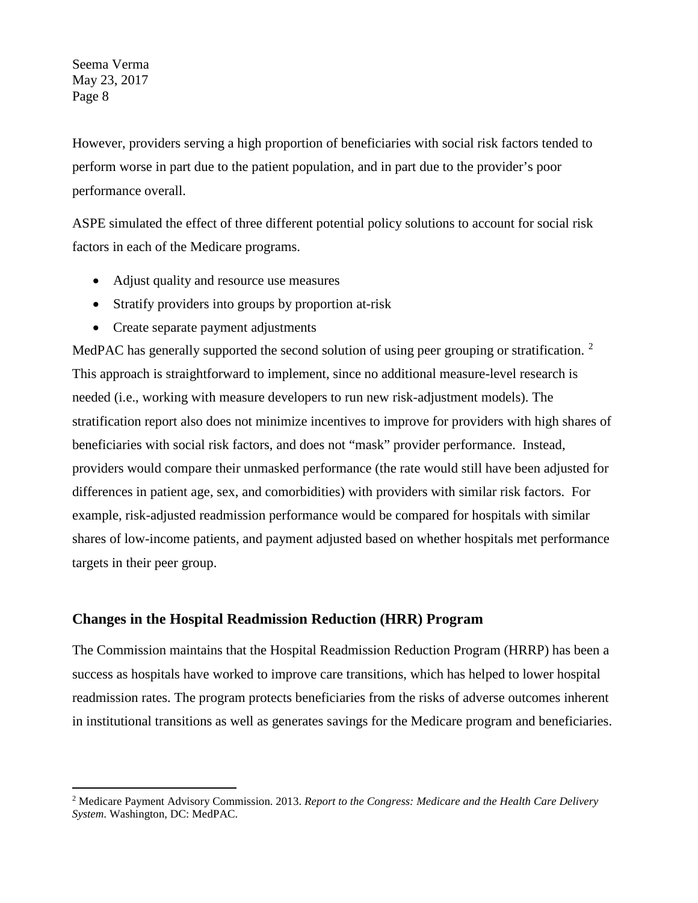However, providers serving a high proportion of beneficiaries with social risk factors tended to perform worse in part due to the patient population, and in part due to the provider's poor performance overall.

ASPE simulated the effect of three different potential policy solutions to account for social risk factors in each of the Medicare programs.

- Adjust quality and resource use measures
- Stratify providers into groups by proportion at-risk
- Create separate payment adjustments

MedPAC has generally supported the second solution of using peer grouping or stratification. <sup>[2](#page-7-0)</sup> This approach is straightforward to implement, since no additional measure-level research is needed (i.e., working with measure developers to run new risk-adjustment models). The stratification report also does not minimize incentives to improve for providers with high shares of beneficiaries with social risk factors, and does not "mask" provider performance. Instead, providers would compare their unmasked performance (the rate would still have been adjusted for differences in patient age, sex, and comorbidities) with providers with similar risk factors. For example, risk-adjusted readmission performance would be compared for hospitals with similar shares of low-income patients, and payment adjusted based on whether hospitals met performance targets in their peer group.

#### **Changes in the Hospital Readmission Reduction (HRR) Program**

The Commission maintains that the Hospital Readmission Reduction Program (HRRP) has been a success as hospitals have worked to improve care transitions, which has helped to lower hospital readmission rates. The program protects beneficiaries from the risks of adverse outcomes inherent in institutional transitions as well as generates savings for the Medicare program and beneficiaries.

<span id="page-7-0"></span> <sup>2</sup> Medicare Payment Advisory Commission. 2013. *Report to the Congress: Medicare and the Health Care Delivery System*. Washington, DC: MedPAC.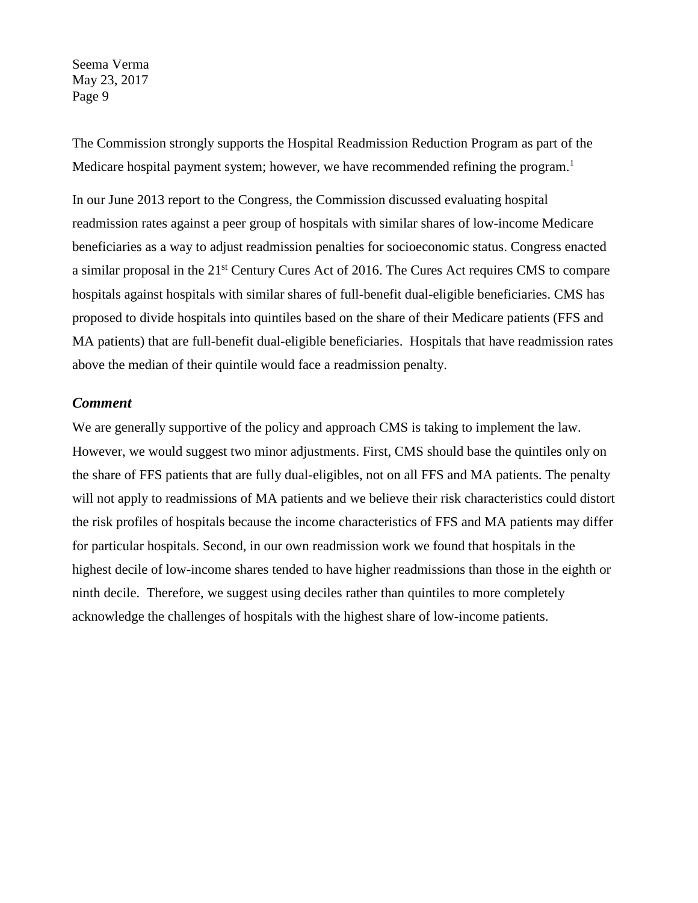The Commission strongly supports the Hospital Readmission Reduction Program as part of the Medicare hospital payment system; however, we have recommended refining the program.<sup>1</sup>

In our June 2013 report to the Congress, the Commission discussed evaluating hospital readmission rates against a peer group of hospitals with similar shares of low-income Medicare beneficiaries as a way to adjust readmission penalties for socioeconomic status. Congress enacted a similar proposal in the 21<sup>st</sup> Century Cures Act of 2016. The Cures Act requires CMS to compare hospitals against hospitals with similar shares of full-benefit dual-eligible beneficiaries. CMS has proposed to divide hospitals into quintiles based on the share of their Medicare patients (FFS and MA patients) that are full-benefit dual-eligible beneficiaries. Hospitals that have readmission rates above the median of their quintile would face a readmission penalty.

#### *Comment*

We are generally supportive of the policy and approach CMS is taking to implement the law. However, we would suggest two minor adjustments. First, CMS should base the quintiles only on the share of FFS patients that are fully dual-eligibles, not on all FFS and MA patients. The penalty will not apply to readmissions of MA patients and we believe their risk characteristics could distort the risk profiles of hospitals because the income characteristics of FFS and MA patients may differ for particular hospitals. Second, in our own readmission work we found that hospitals in the highest decile of low-income shares tended to have higher readmissions than those in the eighth or ninth decile. Therefore, we suggest using deciles rather than quintiles to more completely acknowledge the challenges of hospitals with the highest share of low-income patients.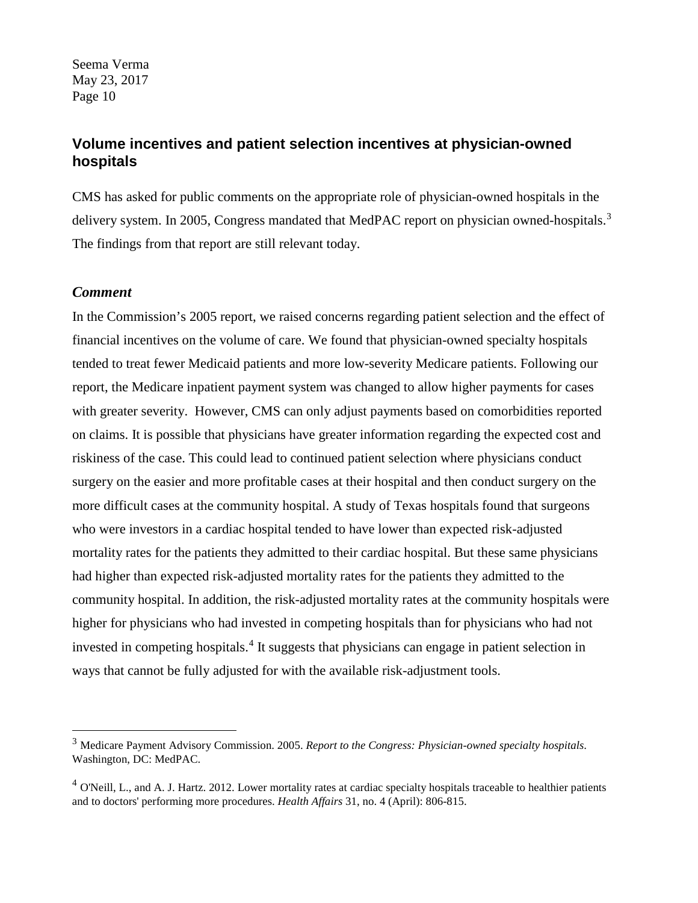## **Volume incentives and patient selection incentives at physician-owned hospitals**

CMS has asked for public comments on the appropriate role of physician-owned hospitals in the delivery system. In 2005, Congress mandated that MedPAC report on physician owned-hospitals.<sup>[3](#page-9-0)</sup> The findings from that report are still relevant today.

#### *Comment*

In the Commission's 2005 report, we raised concerns regarding patient selection and the effect of financial incentives on the volume of care. We found that physician-owned specialty hospitals tended to treat fewer Medicaid patients and more low-severity Medicare patients. Following our report, the Medicare inpatient payment system was changed to allow higher payments for cases with greater severity. However, CMS can only adjust payments based on comorbidities reported on claims. It is possible that physicians have greater information regarding the expected cost and riskiness of the case. This could lead to continued patient selection where physicians conduct surgery on the easier and more profitable cases at their hospital and then conduct surgery on the more difficult cases at the community hospital. A study of Texas hospitals found that surgeons who were investors in a cardiac hospital tended to have lower than expected risk-adjusted mortality rates for the patients they admitted to their cardiac hospital. But these same physicians had higher than expected risk-adjusted mortality rates for the patients they admitted to the community hospital. In addition, the risk-adjusted mortality rates at the community hospitals were higher for physicians who had invested in competing hospitals than for physicians who had not invested in competing hospitals.<sup>[4](#page-9-1)</sup> It suggests that physicians can engage in patient selection in ways that cannot be fully adjusted for with the available risk-adjustment tools.

<span id="page-9-0"></span> <sup>3</sup> Medicare Payment Advisory Commission. 2005. *Report to the Congress: Physician-owned specialty hospitals*. Washington, DC: MedPAC.

<span id="page-9-1"></span> $<sup>4</sup>$  O'Neill, L., and A. J. Hartz. 2012. Lower mortality rates at cardiac specialty hospitals traceable to healthier patients</sup> and to doctors' performing more procedures. *Health Affairs* 31, no. 4 (April): 806-815.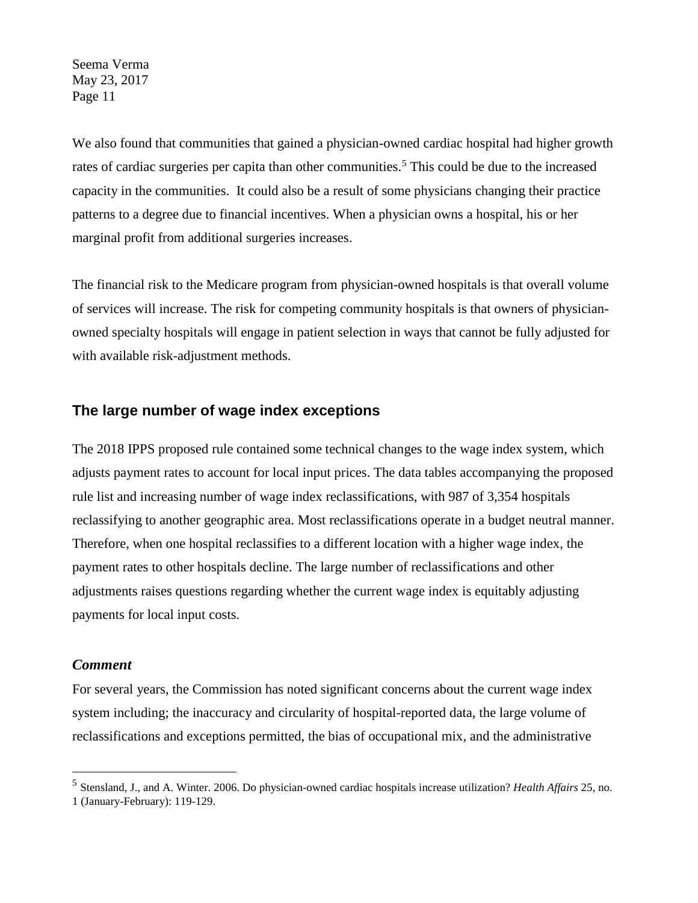We also found that communities that gained a physician-owned cardiac hospital had higher growth rates of cardiac surgeries per capita than other communities.<sup>[5](#page-10-0)</sup> This could be due to the increased capacity in the communities. It could also be a result of some physicians changing their practice patterns to a degree due to financial incentives. When a physician owns a hospital, his or her marginal profit from additional surgeries increases.

The financial risk to the Medicare program from physician-owned hospitals is that overall volume of services will increase. The risk for competing community hospitals is that owners of physicianowned specialty hospitals will engage in patient selection in ways that cannot be fully adjusted for with available risk-adjustment methods.

## **The large number of wage index exceptions**

The 2018 IPPS proposed rule contained some technical changes to the wage index system, which adjusts payment rates to account for local input prices. The data tables accompanying the proposed rule list and increasing number of wage index reclassifications, with 987 of 3,354 hospitals reclassifying to another geographic area. Most reclassifications operate in a budget neutral manner. Therefore, when one hospital reclassifies to a different location with a higher wage index, the payment rates to other hospitals decline. The large number of reclassifications and other adjustments raises questions regarding whether the current wage index is equitably adjusting payments for local input costs.

#### *Comment*

For several years, the Commission has noted significant concerns about the current wage index system including; the inaccuracy and circularity of hospital-reported data, the large volume of reclassifications and exceptions permitted, the bias of occupational mix, and the administrative

<span id="page-10-0"></span> <sup>5</sup> Stensland, J., and A. Winter. 2006. Do physician-owned cardiac hospitals increase utilization? *Health Affairs* 25, no. 1 (January-February): 119-129.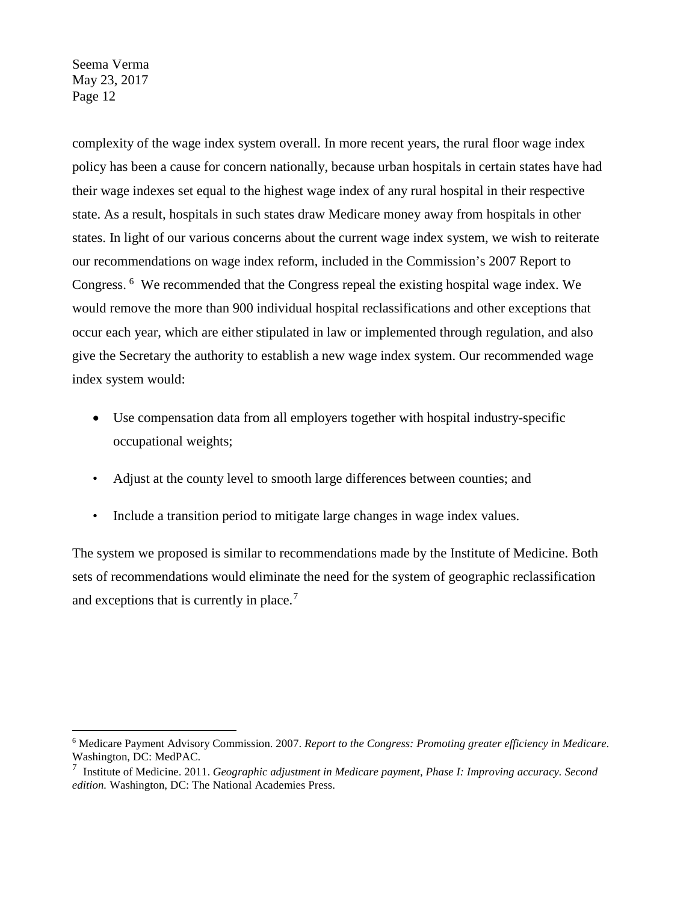complexity of the wage index system overall. In more recent years, the rural floor wage index policy has been a cause for concern nationally, because urban hospitals in certain states have had their wage indexes set equal to the highest wage index of any rural hospital in their respective state. As a result, hospitals in such states draw Medicare money away from hospitals in other states. In light of our various concerns about the current wage index system, we wish to reiterate our recommendations on wage index reform, included in the Commission's 2007 Report to Congress. [6](#page-11-0) We recommended that the Congress repeal the existing hospital wage index. We would remove the more than 900 individual hospital reclassifications and other exceptions that occur each year, which are either stipulated in law or implemented through regulation, and also give the Secretary the authority to establish a new wage index system. Our recommended wage index system would:

- Use compensation data from all employers together with hospital industry-specific occupational weights;
- Adjust at the county level to smooth large differences between counties; and
- Include a transition period to mitigate large changes in wage index values.

The system we proposed is similar to recommendations made by the Institute of Medicine. Both sets of recommendations would eliminate the need for the system of geographic reclassification and exceptions that is currently in place.<sup>[7](#page-11-1)</sup>

<span id="page-11-0"></span> <sup>6</sup> Medicare Payment Advisory Commission. 2007. *Report to the Congress: Promoting greater efficiency in Medicare*. Washington, DC: MedPAC.

<span id="page-11-1"></span><sup>7</sup> Institute of Medicine. 2011. *Geographic adjustment in Medicare payment, Phase I: Improving accuracy. Second edition.* Washington, DC: The National Academies Press.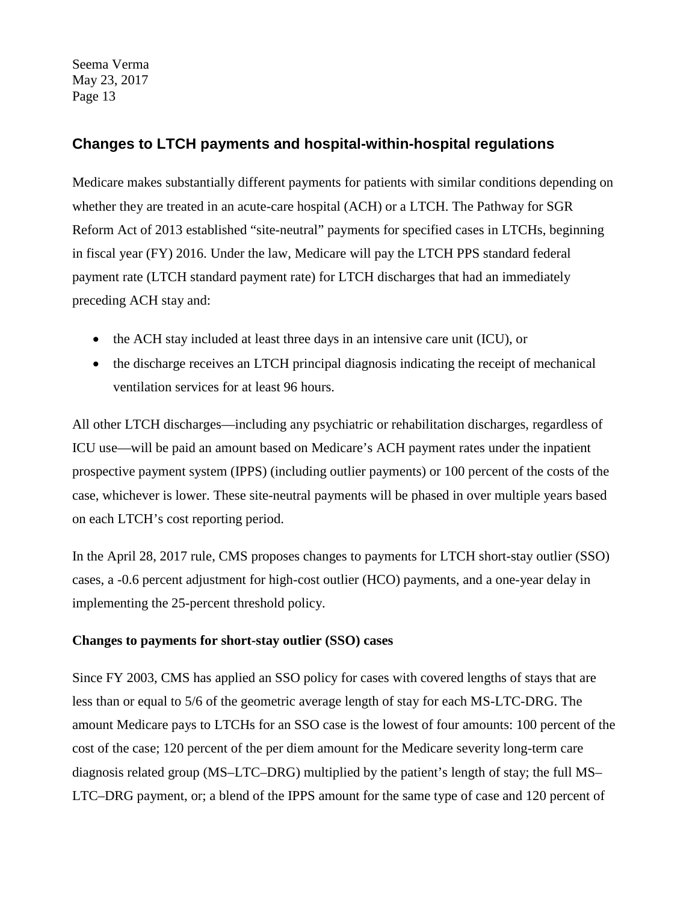# **Changes to LTCH payments and hospital-within-hospital regulations**

Medicare makes substantially different payments for patients with similar conditions depending on whether they are treated in an acute-care hospital (ACH) or a LTCH. The Pathway for SGR Reform Act of 2013 established "site-neutral" payments for specified cases in LTCHs, beginning in fiscal year (FY) 2016. Under the law, Medicare will pay the LTCH PPS standard federal payment rate (LTCH standard payment rate) for LTCH discharges that had an immediately preceding ACH stay and:

- the ACH stay included at least three days in an intensive care unit (ICU), or
- the discharge receives an LTCH principal diagnosis indicating the receipt of mechanical ventilation services for at least 96 hours.

All other LTCH discharges—including any psychiatric or rehabilitation discharges, regardless of ICU use—will be paid an amount based on Medicare's ACH payment rates under the inpatient prospective payment system (IPPS) (including outlier payments) or 100 percent of the costs of the case, whichever is lower. These site-neutral payments will be phased in over multiple years based on each LTCH's cost reporting period.

In the April 28, 2017 rule, CMS proposes changes to payments for LTCH short-stay outlier (SSO) cases, a -0.6 percent adjustment for high-cost outlier (HCO) payments, and a one-year delay in implementing the 25-percent threshold policy.

## **Changes to payments for short-stay outlier (SSO) cases**

Since FY 2003, CMS has applied an SSO policy for cases with covered lengths of stays that are less than or equal to 5/6 of the geometric average length of stay for each MS-LTC-DRG. The amount Medicare pays to LTCHs for an SSO case is the lowest of four amounts: 100 percent of the cost of the case; 120 percent of the per diem amount for the Medicare severity long-term care diagnosis related group (MS–LTC–DRG) multiplied by the patient's length of stay; the full MS– LTC–DRG payment, or; a blend of the IPPS amount for the same type of case and 120 percent of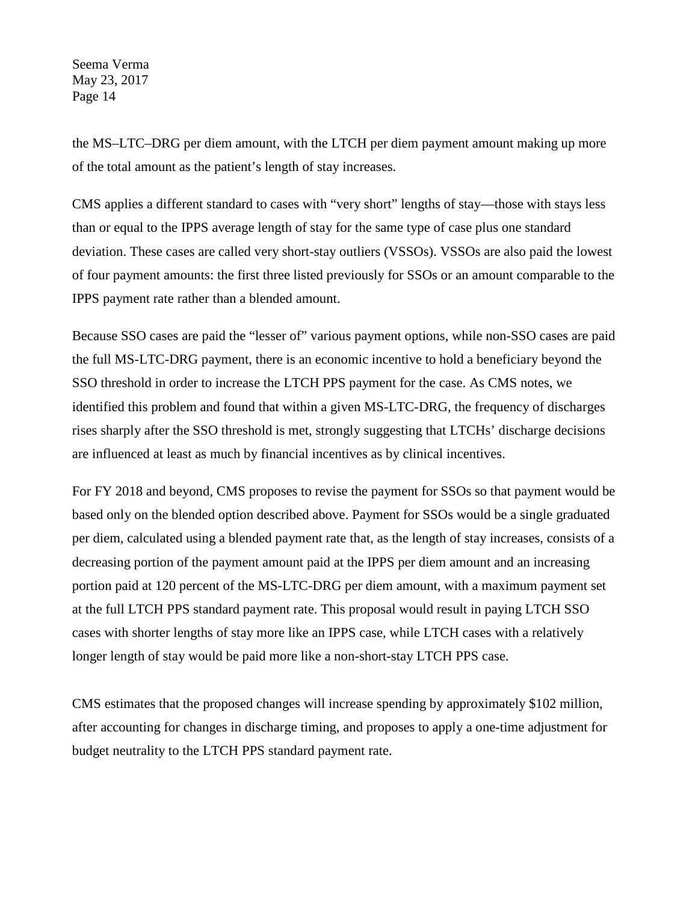the MS–LTC–DRG per diem amount, with the LTCH per diem payment amount making up more of the total amount as the patient's length of stay increases.

CMS applies a different standard to cases with "very short" lengths of stay—those with stays less than or equal to the IPPS average length of stay for the same type of case plus one standard deviation. These cases are called very short-stay outliers (VSSOs). VSSOs are also paid the lowest of four payment amounts: the first three listed previously for SSOs or an amount comparable to the IPPS payment rate rather than a blended amount.

Because SSO cases are paid the "lesser of" various payment options, while non-SSO cases are paid the full MS-LTC-DRG payment, there is an economic incentive to hold a beneficiary beyond the SSO threshold in order to increase the LTCH PPS payment for the case. As CMS notes, we identified this problem and found that within a given MS-LTC-DRG, the frequency of discharges rises sharply after the SSO threshold is met, strongly suggesting that LTCHs' discharge decisions are influenced at least as much by financial incentives as by clinical incentives.

For FY 2018 and beyond, CMS proposes to revise the payment for SSOs so that payment would be based only on the blended option described above. Payment for SSOs would be a single graduated per diem, calculated using a blended payment rate that, as the length of stay increases, consists of a decreasing portion of the payment amount paid at the IPPS per diem amount and an increasing portion paid at 120 percent of the MS-LTC-DRG per diem amount, with a maximum payment set at the full LTCH PPS standard payment rate. This proposal would result in paying LTCH SSO cases with shorter lengths of stay more like an IPPS case, while LTCH cases with a relatively longer length of stay would be paid more like a non-short-stay LTCH PPS case.

CMS estimates that the proposed changes will increase spending by approximately \$102 million, after accounting for changes in discharge timing, and proposes to apply a one-time adjustment for budget neutrality to the LTCH PPS standard payment rate.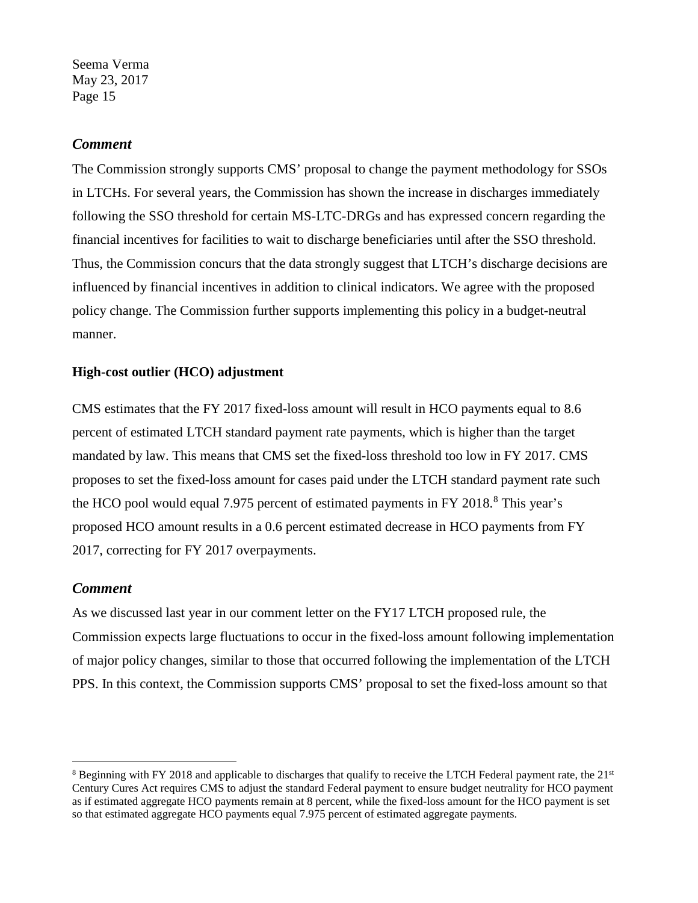#### *Comment*

The Commission strongly supports CMS' proposal to change the payment methodology for SSOs in LTCHs. For several years, the Commission has shown the increase in discharges immediately following the SSO threshold for certain MS-LTC-DRGs and has expressed concern regarding the financial incentives for facilities to wait to discharge beneficiaries until after the SSO threshold. Thus, the Commission concurs that the data strongly suggest that LTCH's discharge decisions are influenced by financial incentives in addition to clinical indicators. We agree with the proposed policy change. The Commission further supports implementing this policy in a budget-neutral manner.

#### **High-cost outlier (HCO) adjustment**

CMS estimates that the FY 2017 fixed-loss amount will result in HCO payments equal to 8.6 percent of estimated LTCH standard payment rate payments, which is higher than the target mandated by law. This means that CMS set the fixed-loss threshold too low in FY 2017. CMS proposes to set the fixed-loss amount for cases paid under the LTCH standard payment rate such the HCO pool would equal 7.975 percent of estimated payments in FY 201[8](#page-14-0).<sup>8</sup> This year's proposed HCO amount results in a 0.6 percent estimated decrease in HCO payments from FY 2017, correcting for FY 2017 overpayments.

#### *Comment*

As we discussed last year in our comment letter on the FY17 LTCH proposed rule, the Commission expects large fluctuations to occur in the fixed-loss amount following implementation of major policy changes, similar to those that occurred following the implementation of the LTCH PPS. In this context, the Commission supports CMS' proposal to set the fixed-loss amount so that

<span id="page-14-0"></span> $8$  Beginning with FY 2018 and applicable to discharges that qualify to receive the LTCH Federal payment rate, the  $21<sup>st</sup>$ Century Cures Act requires CMS to adjust the standard Federal payment to ensure budget neutrality for HCO payment as if estimated aggregate HCO payments remain at 8 percent, while the fixed-loss amount for the HCO payment is set so that estimated aggregate HCO payments equal 7.975 percent of estimated aggregate payments.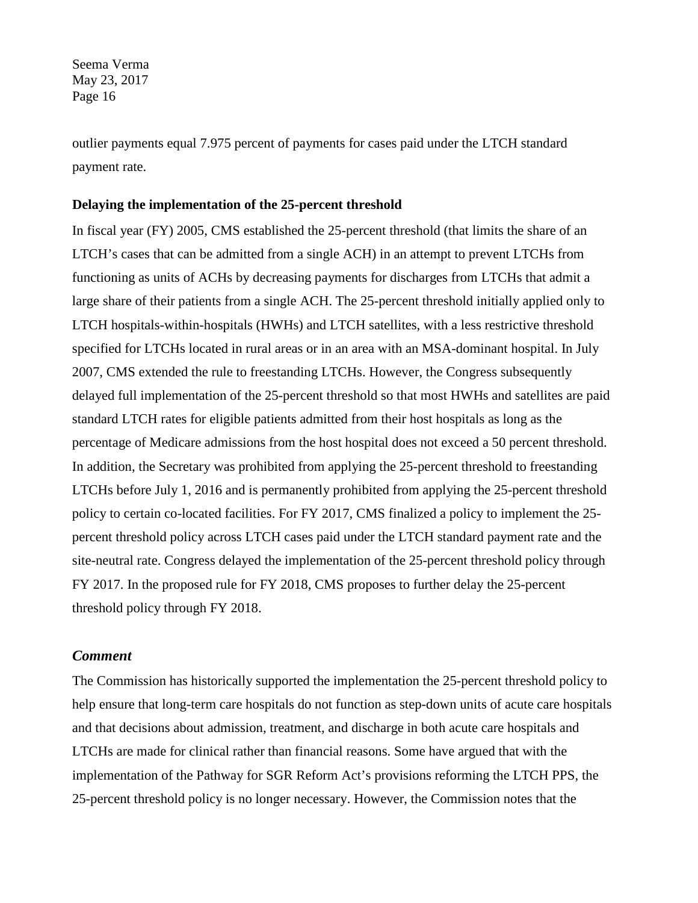outlier payments equal 7.975 percent of payments for cases paid under the LTCH standard payment rate.

#### **Delaying the implementation of the 25-percent threshold**

In fiscal year (FY) 2005, CMS established the 25-percent threshold (that limits the share of an LTCH's cases that can be admitted from a single ACH) in an attempt to prevent LTCHs from functioning as units of ACHs by decreasing payments for discharges from LTCHs that admit a large share of their patients from a single ACH. The 25-percent threshold initially applied only to LTCH hospitals-within-hospitals (HWHs) and LTCH satellites, with a less restrictive threshold specified for LTCHs located in rural areas or in an area with an MSA-dominant hospital. In July 2007, CMS extended the rule to freestanding LTCHs. However, the Congress subsequently delayed full implementation of the 25-percent threshold so that most HWHs and satellites are paid standard LTCH rates for eligible patients admitted from their host hospitals as long as the percentage of Medicare admissions from the host hospital does not exceed a 50 percent threshold. In addition, the Secretary was prohibited from applying the 25-percent threshold to freestanding LTCHs before July 1, 2016 and is permanently prohibited from applying the 25-percent threshold policy to certain co-located facilities. For FY 2017, CMS finalized a policy to implement the 25 percent threshold policy across LTCH cases paid under the LTCH standard payment rate and the site-neutral rate. Congress delayed the implementation of the 25-percent threshold policy through FY 2017. In the proposed rule for FY 2018, CMS proposes to further delay the 25-percent threshold policy through FY 2018.

## *Comment*

The Commission has historically supported the implementation the 25-percent threshold policy to help ensure that long-term care hospitals do not function as step-down units of acute care hospitals and that decisions about admission, treatment, and discharge in both acute care hospitals and LTCHs are made for clinical rather than financial reasons. Some have argued that with the implementation of the Pathway for SGR Reform Act's provisions reforming the LTCH PPS, the 25-percent threshold policy is no longer necessary. However, the Commission notes that the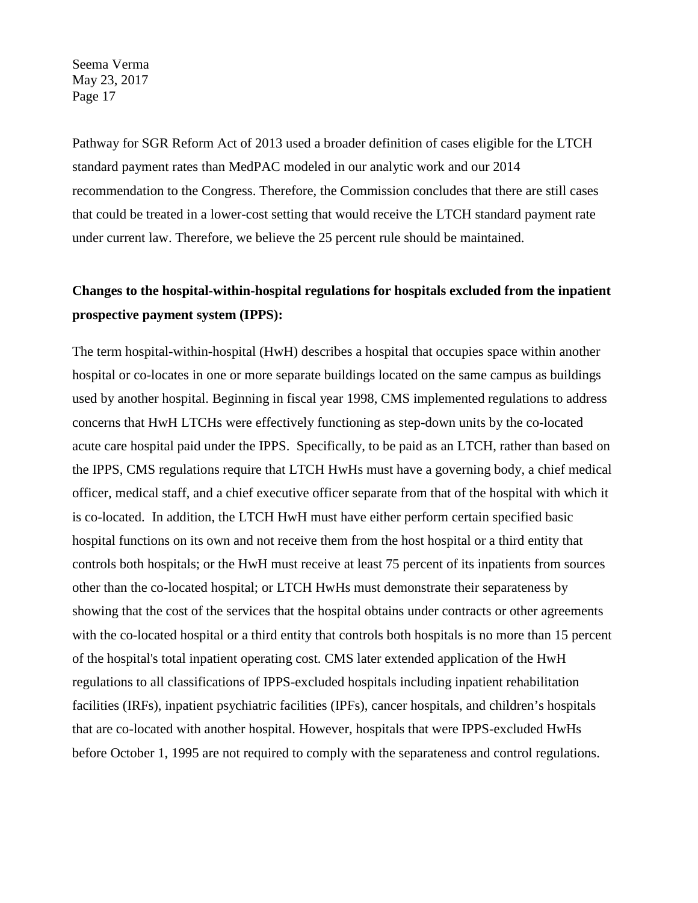Pathway for SGR Reform Act of 2013 used a broader definition of cases eligible for the LTCH standard payment rates than MedPAC modeled in our analytic work and our 2014 recommendation to the Congress. Therefore, the Commission concludes that there are still cases that could be treated in a lower-cost setting that would receive the LTCH standard payment rate under current law. Therefore, we believe the 25 percent rule should be maintained.

# **Changes to the hospital-within-hospital regulations for hospitals excluded from the inpatient prospective payment system (IPPS):**

The term hospital-within-hospital (HwH) describes a hospital that occupies space within another hospital or co-locates in one or more separate buildings located on the same campus as buildings used by another hospital. Beginning in fiscal year 1998, CMS implemented regulations to address concerns that HwH LTCHs were effectively functioning as step-down units by the co-located acute care hospital paid under the IPPS. Specifically, to be paid as an LTCH, rather than based on the IPPS, CMS regulations require that LTCH HwHs must have a governing body, a chief medical officer, medical staff, and a chief executive officer separate from that of the hospital with which it is co-located. In addition, the LTCH HwH must have either perform certain specified basic hospital functions on its own and not receive them from the host hospital or a third entity that controls both hospitals; or the HwH must receive at least 75 percent of its inpatients from sources other than the co-located hospital; or LTCH HwHs must demonstrate their separateness by showing that the cost of the services that the hospital obtains under contracts or other agreements with the co-located hospital or a third entity that controls both hospitals is no more than 15 percent of the hospital's total inpatient operating cost. CMS later extended application of the HwH regulations to all classifications of IPPS-excluded hospitals including inpatient rehabilitation facilities (IRFs), inpatient psychiatric facilities (IPFs), cancer hospitals, and children's hospitals that are co-located with another hospital. However, hospitals that were IPPS-excluded HwHs before October 1, 1995 are not required to comply with the separateness and control regulations.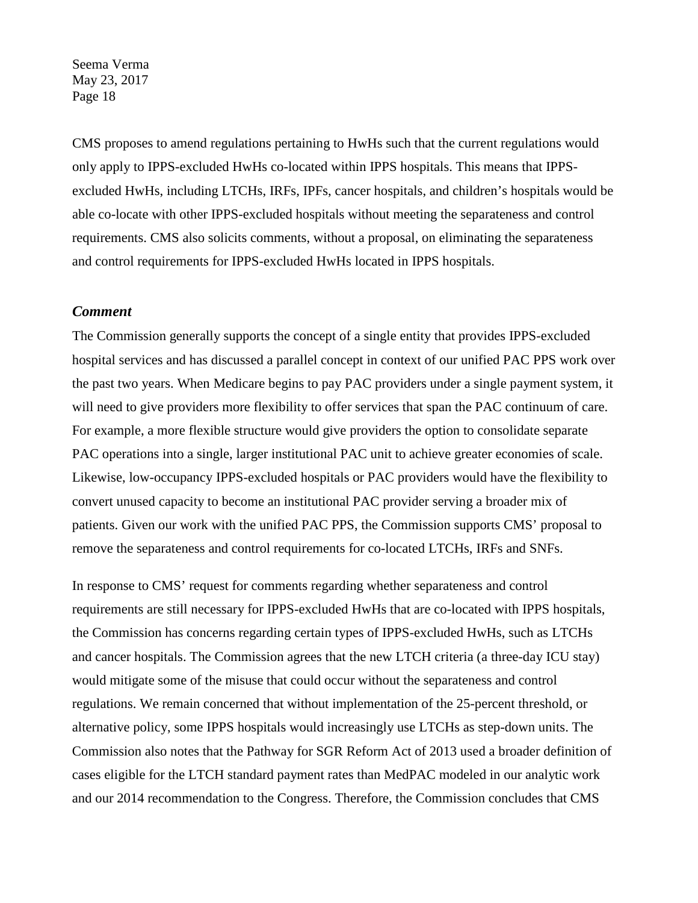CMS proposes to amend regulations pertaining to HwHs such that the current regulations would only apply to IPPS-excluded HwHs co-located within IPPS hospitals. This means that IPPSexcluded HwHs, including LTCHs, IRFs, IPFs, cancer hospitals, and children's hospitals would be able co-locate with other IPPS-excluded hospitals without meeting the separateness and control requirements. CMS also solicits comments, without a proposal, on eliminating the separateness and control requirements for IPPS-excluded HwHs located in IPPS hospitals.

#### *Comment*

The Commission generally supports the concept of a single entity that provides IPPS-excluded hospital services and has discussed a parallel concept in context of our unified PAC PPS work over the past two years. When Medicare begins to pay PAC providers under a single payment system, it will need to give providers more flexibility to offer services that span the PAC continuum of care. For example, a more flexible structure would give providers the option to consolidate separate PAC operations into a single, larger institutional PAC unit to achieve greater economies of scale. Likewise, low-occupancy IPPS-excluded hospitals or PAC providers would have the flexibility to convert unused capacity to become an institutional PAC provider serving a broader mix of patients. Given our work with the unified PAC PPS, the Commission supports CMS' proposal to remove the separateness and control requirements for co-located LTCHs, IRFs and SNFs.

In response to CMS' request for comments regarding whether separateness and control requirements are still necessary for IPPS-excluded HwHs that are co-located with IPPS hospitals, the Commission has concerns regarding certain types of IPPS-excluded HwHs, such as LTCHs and cancer hospitals. The Commission agrees that the new LTCH criteria (a three-day ICU stay) would mitigate some of the misuse that could occur without the separateness and control regulations. We remain concerned that without implementation of the 25-percent threshold, or alternative policy, some IPPS hospitals would increasingly use LTCHs as step-down units. The Commission also notes that the Pathway for SGR Reform Act of 2013 used a broader definition of cases eligible for the LTCH standard payment rates than MedPAC modeled in our analytic work and our 2014 recommendation to the Congress. Therefore, the Commission concludes that CMS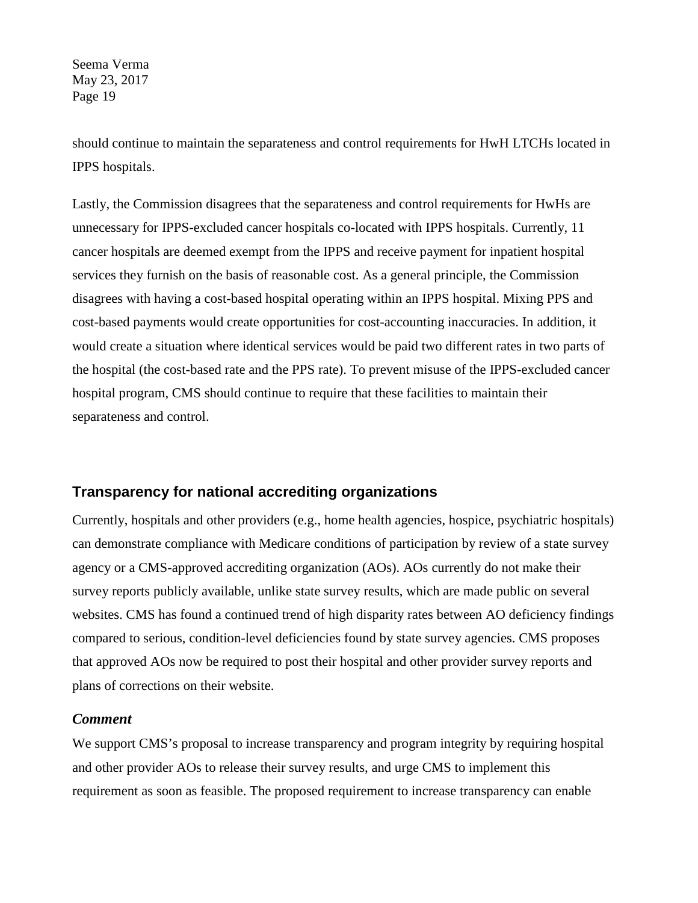should continue to maintain the separateness and control requirements for HwH LTCHs located in IPPS hospitals.

Lastly, the Commission disagrees that the separateness and control requirements for HwHs are unnecessary for IPPS-excluded cancer hospitals co-located with IPPS hospitals. Currently, 11 cancer hospitals are deemed exempt from the IPPS and receive payment for inpatient hospital services they furnish on the basis of reasonable cost. As a general principle, the Commission disagrees with having a cost-based hospital operating within an IPPS hospital. Mixing PPS and cost-based payments would create opportunities for cost-accounting inaccuracies. In addition, it would create a situation where identical services would be paid two different rates in two parts of the hospital (the cost-based rate and the PPS rate). To prevent misuse of the IPPS-excluded cancer hospital program, CMS should continue to require that these facilities to maintain their separateness and control.

## **Transparency for national accrediting organizations**

Currently, hospitals and other providers (e.g., home health agencies, hospice, psychiatric hospitals) can demonstrate compliance with Medicare conditions of participation by review of a state survey agency or a CMS-approved accrediting organization (AOs). AOs currently do not make their survey reports publicly available, unlike state survey results, which are made public on several websites. CMS has found a continued trend of high disparity rates between AO deficiency findings compared to serious, condition-level deficiencies found by state survey agencies. CMS proposes that approved AOs now be required to post their hospital and other provider survey reports and plans of corrections on their website.

#### *Comment*

We support CMS's proposal to increase transparency and program integrity by requiring hospital and other provider AOs to release their survey results, and urge CMS to implement this requirement as soon as feasible. The proposed requirement to increase transparency can enable